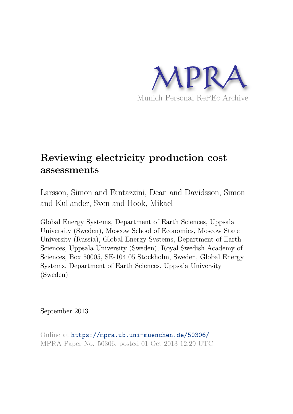

# **Reviewing electricity production cost assessments**

Larsson, Simon and Fantazzini, Dean and Davidsson, Simon and Kullander, Sven and Hook, Mikael

Global Energy Systems, Department of Earth Sciences, Uppsala University (Sweden), Moscow School of Economics, Moscow State University (Russia), Global Energy Systems, Department of Earth Sciences, Uppsala University (Sweden), Royal Swedish Academy of Sciences, Box 50005, SE-104 05 Stockholm, Sweden, Global Energy Systems, Department of Earth Sciences, Uppsala University (Sweden)

September 2013

Online at https://mpra.ub.uni-muenchen.de/50306/ MPRA Paper No. 50306, posted 01 Oct 2013 12:29 UTC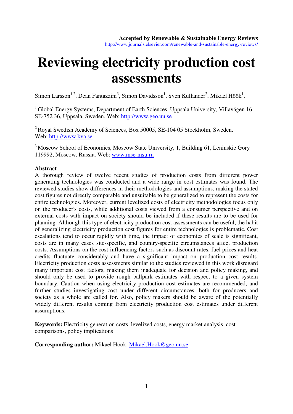# **Reviewing electricity production cost assessments**

Simon Larsson<sup>1,2</sup>, Dean Fantazzini<sup>3</sup>, Simon Davidsson<sup>1</sup>, Sven Kullander<sup>2</sup>, Mikael Höök<sup>1</sup>,

<sup>1</sup> Global Energy Systems, Department of Earth Sciences, Uppsala University, Villavägen 16, SE-752 36, Uppsala, Sweden. Web: http://www.geo.uu.se

<sup>2</sup> Royal Swedish Academy of Sciences, Box 50005, SE-104 05 Stockholm, Sweden. Web: http://www.kva.se

<sup>3</sup> Moscow School of Economics, Moscow State University, 1, Building 61, Leninskie Gory 119992, Moscow, Russia. Web: www.mse-msu.ru

#### **Abstract**

A thorough review of twelve recent studies of production costs from different power generating technologies was conducted and a wide range in cost estimates was found. The reviewed studies show differences in their methodologies and assumptions, making the stated cost figures not directly comparable and unsuitable to be generalized to represent the costs for entire technologies. Moreover, current levelized costs of electricity methodologies focus only on the producer's costs, while additional costs viewed from a consumer perspective and on external costs with impact on society should be included if these results are to be used for planning. Although this type of electricity production cost assessments can be useful, the habit of generalizing electricity production cost figures for entire technologies is problematic. Cost escalations tend to occur rapidly with time, the impact of economies of scale is significant, costs are in many cases site-specific, and country-specific circumstances affect production costs. Assumptions on the cost-influencing factors such as discount rates, fuel prices and heat credits fluctuate considerably and have a significant impact on production cost results. Electricity production costs assessments similar to the studies reviewed in this work disregard many important cost factors, making them inadequate for decision and policy making, and should only be used to provide rough ballpark estimates with respect to a given system boundary. Caution when using electricity production cost estimates are recommended, and further studies investigating cost under different circumstances, both for producers and society as a whole are called for. Also, policy makers should be aware of the potentially widely different results coming from electricity production cost estimates under different assumptions.

**Keywords:** Electricity generation costs, levelized costs, energy market analysis, cost comparisons, policy implications

**Corresponding author:** Mikael Höök, Mikael.Hook@geo.uu.se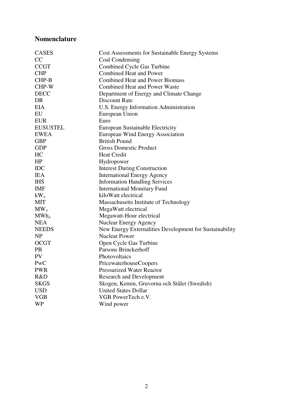## **Nomenclature**

| <b>CASES</b>    | Cost Assessments for Sustainable Energy Systems         |
|-----------------|---------------------------------------------------------|
| CC              | Coal Condensing                                         |
| <b>CCGT</b>     | Combined Cycle Gas Turbine                              |
| <b>CHP</b>      | <b>Combined Heat and Power</b>                          |
| CHP-B           | <b>Combined Heat and Power Biomass</b>                  |
| CHP-W           | <b>Combined Heat and Power Waste</b>                    |
| <b>DECC</b>     | Department of Energy and Climate Change                 |
| <b>DR</b>       | <b>Discount Rate</b>                                    |
| <b>EIA</b>      | U.S. Energy Information Administration                  |
| EU              | European Union                                          |
| <b>EUR</b>      | Euro                                                    |
| <b>EUSUSTEL</b> | European Sustainable Electricity                        |
| <b>EWEA</b>     | European Wind Energy Association                        |
| <b>GBP</b>      | <b>British Pound</b>                                    |
| <b>GDP</b>      | <b>Gross Domestic Product</b>                           |
| HC              | <b>Heat Credit</b>                                      |
| HP              | Hydropower                                              |
| IDC             | <b>Interest During Construction</b>                     |
| <b>IEA</b>      | <b>International Energy Agency</b>                      |
| <b>IHS</b>      | <b>Information Handling Services</b>                    |
| <b>IMF</b>      | <b>International Monetary Fund</b>                      |
| $kW_e$          | kiloWatt electrical                                     |
| <b>MIT</b>      | Massachusetts Institute of Technology                   |
| $MW_{e}$        | MegaWatt electrical                                     |
| $MWh_e$         | Megawatt-Hour electrical                                |
| <b>NEA</b>      | <b>Nuclear Energy Agency</b>                            |
| <b>NEEDS</b>    | New Energy Externalities Development for Sustainability |
| NP              | <b>Nuclear Power</b>                                    |
| <b>OCGT</b>     | Open Cycle Gas Turbine                                  |
| PB              | Parsons Brinckerhoff                                    |
| <b>PV</b>       | Photovoltaics                                           |
| PwC             | PricewaterhouseCoopers                                  |
| <b>PWR</b>      | <b>Pressurized Water Reactor</b>                        |
| R&D             | <b>Research and Development</b>                         |
| <b>SKGS</b>     | Skogen, Kemin, Gruvorna och Stålet (Swedish)            |
| <b>USD</b>      | <b>United States Dollar</b>                             |
| <b>VGB</b>      | VGB PowerTech e.V.                                      |
| <b>WP</b>       | Wind power                                              |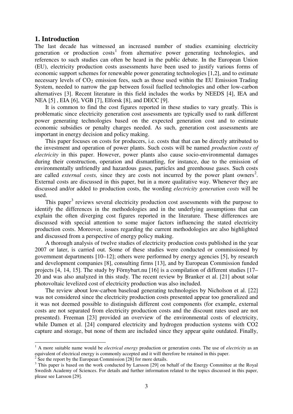#### **1. Introduction**

The last decade has witnessed an increased number of studies examining electricity generation or production  $costs<sup>1</sup>$  $costs<sup>1</sup>$  $costs<sup>1</sup>$  from alternative power generating technologies, and references to such studies can often be heard in the public debate. In the European Union (EU), electricity production costs assessments have been used to justify various forms of economic support schemes for renewable power generating technologies [1,2], and to estimate necessary levels of  $CO<sub>2</sub>$  emission fees, such as those used within the EU Emission Trading System, needed to narrow the gap between fossil fuelled technologies and other low-carbon alternatives [3]. Recent literature in this field includes the works by NEEDS [4], IEA and NEA [5] , EIA [6], VGB [7], Elforsk [8], and DECC [9].

It is common to find the cost figures reported in these studies to vary greatly. This is problematic since electricity generation cost assessments are typically used to rank different power generating technologies based on the expected generation cost and to estimate economic subsidies or penalty charges needed. As such, generation cost assessments are important in energy decision and policy making.

This paper focuses on costs for producers, i.e. costs that that can be directly attributed to the investment and operation of power plants. Such costs will be named *production costs of electricity* in this paper. However, power plants also cause socio-environmental damages during their construction, operation and dismantling, for instance, due to the emission of environmentally unfriendly and hazardous gases, particles and greenhouse gases. Such costs are called *external costs*, since they are costs not incurred by the power plant owners<sup>[2](#page-3-1)</sup>. External costs are discussed in this paper, but in a more qualitative way. Whenever they are discussed and/or added to production costs, the wording *electricity generation costs* will be used.

This paper<sup>[3](#page-3-2)</sup> reviews several electricity production cost assessments with the purpose to identify the differences in the methodologies and in the underlying assumptions that can explain the often diverging cost figures reported in the literature. These differences are discussed with special attention to some major factors influencing the stated electricity production costs. Moreover, issues regarding the current methodologies are also highlighted and discussed from a perspective of energy policy making.

A thorough analysis of twelve studies of electricity production costs published in the year 2007 or later, is carried out. Some of these studies were conducted or commissioned by government departments [10–12]; others were performed by energy agencies [5], by research and development companies [8], consulting firms [13], and by European Commission funded projects [4, 14, 15]. The study by Förnybart.nu [16] is a compilation of different studies [17– 20 and was also analyzed in this study. The recent review by Branker et al. [21] about solar photovoltaic levelized cost of electricity production was also included.

The review about low-carbon baseload generating technologies by Nicholson et al. [22] was not considered since the electricity production costs presented appear too generalized and it was not deemed possible to distinguish different cost components (for example, external costs are not separated from electricity production costs and the discount rates used are not presented). Freeman [23] provided an overview of the environmental costs of electricity, while Damen et al. [24] compared electricity and hydrogen production systems with CO2 capture and storage, but none of them are included since they appear quite outdated. Finally,

 $\overline{a}$ 

<span id="page-3-0"></span><sup>1</sup> A more suitable name would be *electrical energy* production or generation costs. The use of *electricity* as an equivalent of electrical energy is commonly accepted and it will therefore be retained in this paper.

<span id="page-3-1"></span><sup>2</sup> See the report by the European Commission [28] for more details.

<span id="page-3-2"></span><sup>&</sup>lt;sup>3</sup> This paper is based on the work conducted by Larsson [29] on behalf of the Energy Committee at the Royal Swedish Academy of Sciences. For details and further information related to the topics discussed in this paper, please see Larsson [29].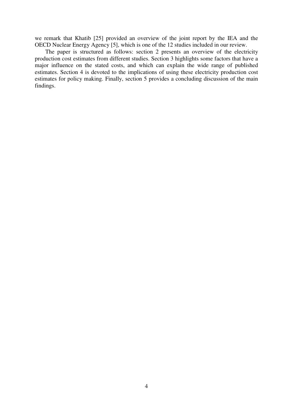we remark that Khatib [25] provided an overview of the joint report by the IEA and the OECD Nuclear Energy Agency [5], which is one of the 12 studies included in our review.

The paper is structured as follows: section 2 presents an overview of the electricity production cost estimates from different studies. Section 3 highlights some factors that have a major influence on the stated costs, and which can explain the wide range of published estimates. Section 4 is devoted to the implications of using these electricity production cost estimates for policy making. Finally, section 5 provides a concluding discussion of the main findings.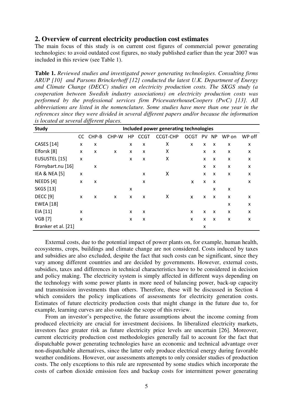#### **2. Overview of current electricity production cost estimates**

The main focus of this study is on current cost figures of commercial power generating technologies: to avoid outdated cost figures, no study published earlier than the year 2007 was included in this review (see Table 1).

**Table 1.** *Reviewed studies and investigated power generating technologies. Consulting firms ARUP [10] and Parsons Brinckerhoff [12] conducted the latest U.K. Department of Energy and Climate Change (DECC) studies on electricity production costs. The SKGS study (a cooperation between Swedish industry associations) on electricity production costs was performed by the professional services firm PricewaterhouseCoopers (PwC) [13]. All abbreviations are listed in the nomenclature. Some studies have more than one year in the references since they were divided in several different papers and/or because the information is located at several different places.*

| <b>Study</b>             |    |       | Included power generating technologies |                           |             |                 |             |    |           |       |        |
|--------------------------|----|-------|----------------------------------------|---------------------------|-------------|-----------------|-------------|----|-----------|-------|--------|
|                          | CC | CHP-B | CHP-W                                  | HP.                       | <b>CCGT</b> | <b>CCGT-CHP</b> | <b>OCGT</b> | PV | <b>NP</b> | WP on | WP off |
| <b>CASES</b> [14]        | X  | x     |                                        | X                         | X           | X               | X           | X  | X         | X     | X      |
| Elforsk [8]              | X  | x     | X                                      | X                         | X           | Χ               |             | x  | X         | X     | X      |
| EUSUSTEL [15]            | X  |       |                                        | X                         | X           | X               |             | x  | X         | X     | X      |
| Förnybart.nu [16]        |    | X     |                                        |                           |             |                 |             | x  | X         | X     | X      |
| <b>IEA &amp; NEA [5]</b> | X  |       |                                        |                           | X           | X               |             | X  | X         | X     | X      |
| NEEDS [4]                | X  | X     |                                        |                           | X           |                 | X           | X  | X         |       | X      |
| <b>SKGS</b> [13]         |    |       |                                        | X                         |             |                 |             |    | X         | X     |        |
| <b>DECC</b> [9]          | X  | X     | X                                      | $\boldsymbol{\mathsf{x}}$ | X           | X               | X           | X  | X         | X     | X      |
| <b>EWEA</b> [18]         |    |       |                                        |                           |             |                 |             |    |           | X     | X      |
| EIA [11]                 | X  |       |                                        | X                         | X           |                 | X           | X  | X         | X     | X      |
| <b>VGB</b> [7]           | X  |       |                                        | X                         | X           |                 | X           | X  | X         | X     | X      |
| Branker et al. [21]      |    |       |                                        |                           |             |                 |             | X  |           |       |        |

External costs, due to the potential impact of power plants on, for example, human health, ecosystems, crops, buildings and climate change are not considered. Costs induced by taxes and subsidies are also excluded, despite the fact that such costs can be significant, since they vary among different countries and are decided by governments. However, external costs, subsidies, taxes and differences in technical characteristics have to be considered in decision and policy making. The electricity system is simply affected in different ways depending on the technology with some power plants in more need of balancing power, back-up capacity and transmission investments than others. Therefore, these will be discussed in Section 4 which considers the policy implications of assessments for electricity generation costs. Estimates of future electricity production costs that might change in the future due to, for example, learning curves are also outside the scope of this review.

From an investor's perspective, the future assumptions about the income coming from produced electricity are crucial for investment decisions. In liberalized electricity markets, investors face greater risk as future electricity price levels are uncertain [26]. Moreover, current electricity production cost methodologies generally fail to account for the fact that dispatchable power generating technologies have an economic and technical advantage over non-dispatchable alternatives, since the latter only produce electrical energy during favorable weather conditions. However, our assessments attempts to only consider studies of production costs. The only exceptions to this rule are represented by some studies which incorporate the costs of carbon dioxide emission fees and backup costs for intermittent power generating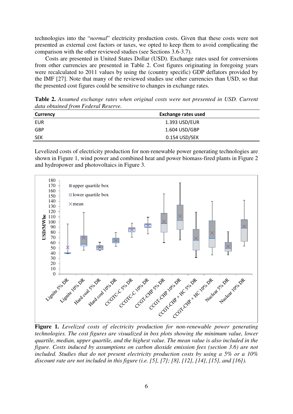technologies into the "*normal*" electricity production costs. Given that these costs were not presented as external cost factors or taxes, we opted to keep them to avoid complicating the comparison with the other reviewed studies (see Sections 3.6-3.7).

Costs are presented in United States Dollar (USD). Exchange rates used for conversions from other currencies are presented in Table 2. Cost figures originating in foregoing years were recalculated to 2011 values by using the (country specific) GDP deflators provided by the IMF [27]. Note that many of the reviewed studies use other currencies than USD, so that the presented cost figures could be sensitive to changes in exchange rates.

**Table 2.** *Assumed exchange rates when original costs were not presented in USD. Current data obtained from Federal Reserve.* 

| Currency   | <b>Exchange rates used</b> |
|------------|----------------------------|
| EUR        | 1.393 USD/EUR              |
| <b>GBP</b> | 1.604 USD/GBP              |
| <b>SEK</b> | 0.154 USD/SEK              |

Levelized costs of electricity production for non-renewable power generating technologies are shown in Figure 1, wind power and combined heat and power biomass-fired plants in Figure 2 and hydropower and photovoltaics in Figure 3.



**Figure 1.** *Levelized costs of electricity production for non-renewable power generating technologies. The cost figures are visualized in box plots showing the minimum value, lower quartile, median, upper quartile, and the highest value. The mean value is also included in the figure. Costs induced by assumptions on carbon dioxide emission fees (section 3.6) are not included. Studies that do not present electricity production costs by using a 5% or a 10% discount rate are not included in this figure (i.e. [5], [7]; [8], [12], [14], [15], and [16]).*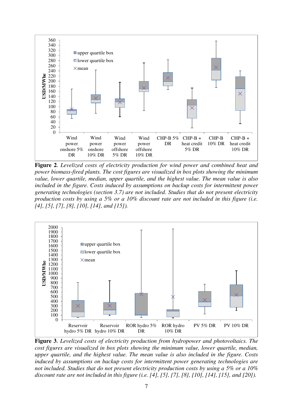

**Figure 2.** *Levelized costs of electricity production for wind power and combined heat and power biomass-fired plants. The cost figures are visualized in box plots showing the minimum value, lower quartile, median, upper quartile, and the highest value. The mean value is also included in the figure. Costs induced by assumptions on backup costs for intermittent power generating technologies (section 3.7) are not included. Studies that do not present electricity production costs by using a 5% or a 10% discount rate are not included in this figure (i.e. [4], [5], [7], [8], [10], [14], and [15]).* 



**Figure 3.** *Levelized costs of electricity production from hydropower and photovoltaics. The cost figures are visualized in box plots showing the minimum value, lower quartile, median, upper quartile, and the highest value. The mean value is also included in the figure. Costs induced by assumptions on backup costs for intermittent power generating technologies are not included. Studies that do not present electricity production costs by using a 5% or a 10% discount rate are not included in this figure (i.e. [4], [5], [7], [8], [10], [14], [15], and [20]).*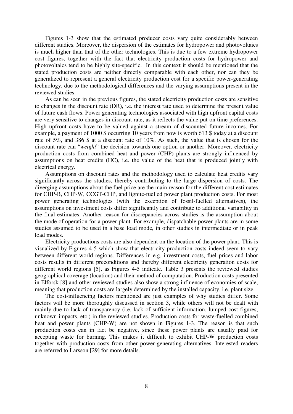Figures 1-3 show that the estimated producer costs vary quite considerably between different studies. Moreover, the dispersion of the estimates for hydropower and photovoltaics is much higher than that of the other technologies. This is due to a few extreme hydropower cost figures, together with the fact that electricity production costs for hydropower and photovoltaics tend to be highly site-specific. In this context it should be mentioned that the stated production costs are neither directly comparable with each other, nor can they be generalized to represent a general electricity production cost for a specific power-generating technology, due to the methodological differences and the varying assumptions present in the reviewed studies.

As can be seen in the previous figures, the stated electricity production costs are sensitive to changes in the discount rate (DR), i.e. the interest rate used to determine the present value of future cash flows. Power generating technologies associated with high upfront capital costs are very sensitive to changes in discount rate, as it reflects the value put on time preferences. High upfront costs have to be valued against a stream of discounted future incomes. For example, a payment of 1000 \$ occurring 10 years from now is worth 613 \$ today at a discount rate of 5%, and 386 \$ at a discount rate of 10%. As such, the value that is chosen for the discount rate can "*weight*" the decision towards one option or another. Moreover, electricity production costs from combined heat and power (CHP) plants are strongly influenced by assumptions on heat credits (HC), i.e. the value of the heat that is produced jointly with electrical energy.

Assumptions on discount rates and the methodology used to calculate heat credits vary significantly across the studies, thereby contributing to the large dispersion of costs. The diverging assumptions about the fuel price are the main reason for the different cost estimates for CHP-B, CHP-W, CCGT-CHP, and lignite-fuelled power plant production costs. For most power generating technologies (with the exception of fossil-fuelled alternatives), the assumptions on investment costs differ significantly and contribute to additional variability in the final estimates. Another reason for discrepancies across studies is the assumption about the mode of operation for a power plant. For example, dispatchable power plants are in some studies assumed to be used in a base load mode, in other studies in intermediate or in peak load modes.

Electricity productions costs are also dependent on the location of the power plant. This is visualized by Figures 4-5 which show that electricity production costs indeed seem to vary between different world regions. Differences in e.g. investment costs, fuel prices and labor costs results in different preconditions and thereby different electricity generation costs for different world regions [5], as Figures 4-5 indicate. Table 3 presents the reviewed studies geographical coverage (location) and their method of computation. Production costs presented in Elforsk [8] and other reviewed studies also show a strong influence of economies of scale, meaning that production costs are largely determined by the installed capacity, i.e. plant size.

The cost-influencing factors mentioned are just examples of why studies differ. Some factors will be more thoroughly discussed in section 3, while others will not be dealt with mainly due to lack of transparency (i.e. lack of sufficient information, lumped cost figures, unknown impacts, etc.) in the reviewed studies. Production costs for waste-fuelled combined heat and power plants (CHP-W) are not shown in Figures 1-3. The reason is that such production costs can in fact be negative, since these power plants are usually paid for accepting waste for burning. This makes it difficult to exhibit CHP-W production costs together with production costs from other power-generating alternatives. Interested readers are referred to Larsson [29] for more details.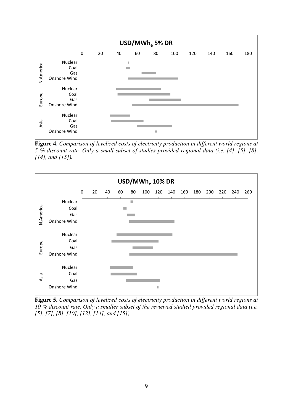

**Figure 4.** *Comparison of levelized costs of electricity production in different world regions at 5 % discount rate. Only a small subset of studies provided regional data (i.e. [4], [5], [8], [14], and [15]).* 



**Figure 5.** *Comparison of levelized costs of electricity production in different world regions at 10 % discount rate. Only a smaller subset of the reviewed studied provided regional data (i.e. [5], [7], [8], [10], [12], [14], and [15]).*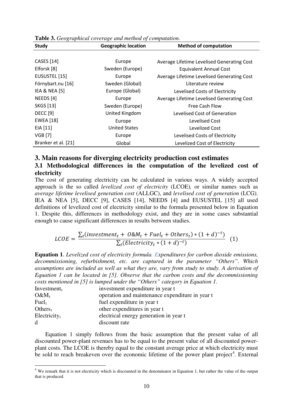| <b>Study</b>             | <b>Geographic location</b> | <b>Method of computation</b>               |
|--------------------------|----------------------------|--------------------------------------------|
|                          |                            |                                            |
| CASES [14]               | Europe                     | Average Lifetime Levelised Generating Cost |
| Elforsk [8]              | Sweden (Europe)            | <b>Equivalent Annual Cost</b>              |
| EUSUSTEL [15]            | Europe                     | Average Lifetime Levelised Generating Cost |
| Förnybart.nu [16]        | Sweden (Global)            | Literature review                          |
| <b>IEA &amp; NEA [5]</b> | Europe (Global)            | Levelised Costs of Electricity             |
| NEEDS [4]                | Europe                     | Average Lifetime Levelised Generating Cost |
| <b>SKGS</b> [13]         | Sweden (Europe)            | Free Cash Flow                             |
| <b>DECC</b> [9]          | United Kingdom             | Levelised Cost of Generation               |
| <b>EWEA</b> [18]         | Europe                     | Levelised Cost                             |
| EIA [11]                 | <b>United States</b>       | Levelized Cost                             |
| VGB [7]                  | Europe                     | Levelised Costs of Electricity             |
| Branker et al. [21]      | Global                     | Levelized Cost of Electricity              |

**Table 3.** *Geographical coverage and method of computation.* 

### **3. Main reasons for diverging electricity production cost estimates 3.1 Methodological differences in the computation of the levelized cost of electricity**

The cost of generating electricity can be calculated in various ways. A widely accepted approach is the so called *levelized cost of electricity* (LCOE)*,* or similar names such as *average lifetime levelised generation cost* (ALLGC), and *levelised cost of generation* (LCG). IEA & NEA [5], DECC [9], CASES [14], NEEDS [4] and EUSUSTEL [15] all used definitions of levelized cost of electricity similar to the formula presented below in Equation 1. Despite this, differences in methodology exist, and they are in some cases substantial enough to cause significant differences in results between studies.

$$
LCOE = \frac{\sum_{t} (investment_t + 0 \& M_t + Fuel_t + Others_t) * (1 + d)^{-t})}{\sum_{t} (Electricity_t * (1 + d)^{-t})}
$$
 (1)

**Equation 1.** *Levelized cost of electricity formula. Expenditures for carbon dioxide emissions, decommissioning, refurbishment, etc. are captured in the parameter "Others". Which assumptions are included as well as what they are, vary from study to study. A derivation of Equation 1 can be located in [5]. Observe that the carbon costs and the decommissioning costs mentioned in [5] is lumped under the "Others" category in Equation 1.*

| Investment $t$  | investment expenditure in year t                |
|-----------------|-------------------------------------------------|
| $O\&M_t$        | operation and maintenance expenditure in year t |
| $Fuel_t$        | fuel expenditure in year t                      |
| Others $_t$     | other expenditures in year t                    |
| $Electricity_t$ | electrical energy generation in year t          |
| d               | discount rate                                   |

 $\overline{a}$ 

Equation 1 simply follows from the basic assumption that the present value of all discounted power-plant revenues has to be equal to the present value of all discounted powerplant costs. The LCOE is thereby equal to the constant average price at which electricity must be sold to reach breakeven over the economic lifetime of the power plant project<sup>[4](#page-10-0)</sup>. External

<span id="page-10-0"></span><sup>&</sup>lt;sup>4</sup> We remark that it is not electricity which is discounted in the denominator in Equation 1, but rather the value of the output that is produced.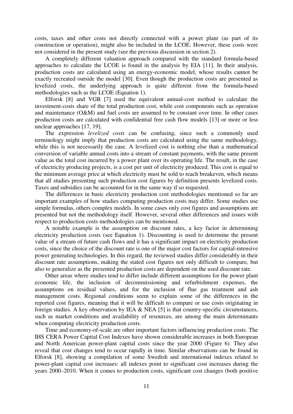costs, taxes and other costs not directly connected with a power plant (as part of its construction or operation), might also be included in the LCOE. However, these costs were not considered in the present study (see the previous discussion in section 2).

A completely different valuation approach compared with the standard formula-based approaches to calculate the LCOE is found in the analysis by EIA [11]. In their analysis, production costs are calculated using an energy-economic model, whose results cannot be exactly recreated outside the model [30]. Even though the production costs are presented as levelized costs, the underlying approach is quite different from the formula-based methodologies such as the LCOE (Equation 1).

Elforsk [8] and VGB [7] used the equivalent annual-cost method to calculate the investment-costs share of the total production cost, while cost components such as operation and maintenance (O&M) and fuel costs are assumed to be constant over time. In other cases production costs are calculated with confidential free cash flow models [13] or more or less unclear approaches [17, 19].

The expression *levelized costs* can be confusing, since such a commonly used terminology might imply that production costs are calculated using the same methodology, while this is not necessarily the case. A levelized cost is nothing else than a mathematical conversion of variable annual costs into a stream of constant payments, with the same present value as the total cost incurred by a power plant over its operating life. The result, in the case of electricity producing projects, is a cost per unit of electricity produced. This cost is equal to the minimum average price at which electricity must be sold to reach breakeven, which means that all studies presenting such production cost figures by definition presents levelized costs. Taxes and subsidies can be accounted for in the same way if so requested.

The differences in basic electricity production cost methodologies mentioned so far are important examples of how studies computing production costs may differ. Some studies use simple formulas, others complex models. In some cases only cost figures and assumptions are presented but not the methodology itself. However, several other differences and issues with respect to production costs methodologies can be mentioned.

A notable example is the assumption on discount rates, a key factor in determining electricity production costs (see Equation 1). Discounting is used to determine the present value of a stream of future cash flows and it has a significant impact on electricity production costs, since the choice of the discount rate is one of the major cost factors for capital-intensive power generating technologies. In this regard, the reviewed studies differ considerably in their discount rate assumptions, making the stated cost figures not only difficult to compare, but also to generalize as the presented production costs are dependent on the used discount rate.

Other areas where studies tend to differ include different assumptions for the power plant economic life, the inclusion of decommissioning and refurbishment expenses, the assumptions on residual values, and for the inclusion of flue gas treatment and ash management costs. Regional conditions seem to explain some of the differences in the reported cost figures, meaning that it will be difficult to compare or use costs originating in foreign studies. A key observation by IEA & NEA [5] is that country-specific circumstances, such as market conditions and availability of resources, are among the main determinants when computing electricity production costs.

Time and economy-of-scale are other important factors influencing production costs. The IHS CERA Power Capital Cost Indexes have shown considerable increases in both European and North American power-plant capital costs since the year 2000 (Figure 6). They also reveal that cost changes tend to occur rapidly in time. Similar observations can be found in Elforsk [8], showing a compilation of some Swedish and international indexes related to power-plant capital cost increases: all indexes point to significant cost increases during the years 2000–2010. When it comes to production costs, significant cost changes (both positive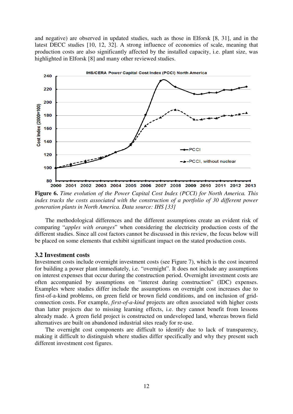and negative) are observed in updated studies, such as those in Elforsk [8, 31], and in the latest DECC studies [10, 12, 32]. A strong influence of economies of scale, meaning that production costs are also significantly affected by the installed capacity, i.e. plant size, was highlighted in Elforsk [8] and many other reviewed studies.



**Figure 6.** *Time evolution of the Power Capital Cost Index (PCCI) for North America. This index tracks the costs associated with the construction of a portfolio of 30 different power generation plants in North America. Data source: IHS [33]*

The methodological differences and the different assumptions create an evident risk of comparing "*apples with oranges*" when considering the electricity production costs of the different studies. Since all cost factors cannot be discussed in this review, the focus below will be placed on some elements that exhibit significant impact on the stated production costs.

#### **3.2 Investment costs**

Investment costs include overnight investment costs (see Figure 7), which is the cost incurred for building a power plant immediately, i.e. "overnight". It does not include any assumptions on interest expenses that occur during the construction period. Overnight investment costs are often accompanied by assumptions on "interest during construction" (IDC) expenses. Examples where studies differ include the assumptions on overnight cost increases due to first-of-a-kind problems, on green field or brown field conditions, and on inclusion of gridconnection costs. For example, *first-of-a-kind* projects are often associated with higher costs than latter projects due to missing learning effects, i.e. they cannot benefit from lessons already made. A green field project is constructed on undeveloped land, whereas brown field alternatives are built on abandoned industrial sites ready for re-use.

The overnight cost components are difficult to identify due to lack of transparency, making it difficult to distinguish where studies differ specifically and why they present such different investment cost figures.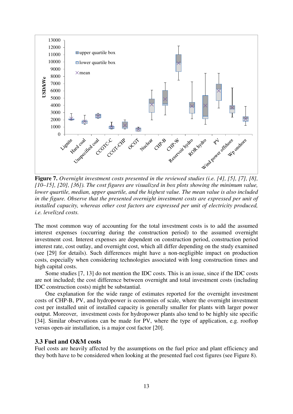

**Figure 7.** *Overnight investment costs presented in the reviewed studies (i.e. [4], [5], [7], [8], [10–15], [20], [36]). The cost figures are visualized in box plots showing the minimum value, lower quartile, median, upper quartile, and the highest value. The mean value is also included in the figure. Observe that the presented overnight investment costs are expressed per unit of installed capacity, whereas other cost factors are expressed per unit of electricity produced, i.e. levelized costs.* 

The most common way of accounting for the total investment costs is to add the assumed interest expenses (occurring during the construction period) to the assumed overnight investment cost. Interest expenses are dependent on construction period, construction period interest rate, cost outlay, and overnight cost, which all differ depending on the study examined (see [29] for details). Such differences might have a non-negligible impact on production costs, especially when considering technologies associated with long construction times and high capital costs.

Some studies [7, 13] do not mention the IDC costs. This is an issue, since if the IDC costs are not included; the cost difference between overnight and total investment costs (including IDC construction costs) might be substantial.

One explanation for the wide range of estimates reported for the overnight investment costs of CHP-B, PV, and hydropower is economies of scale, where the overnight investment cost per installed unit of installed capacity is generally smaller for plants with larger power output. Moreover, investment costs for hydropower plants also tend to be highly site specific [34]. Similar observations can be made for PV, where the type of application, e.g. rooftop versus open-air installation, is a major cost factor [20].

#### **3.3 Fuel and O&M costs**

Fuel costs are heavily affected by the assumptions on the fuel price and plant efficiency and they both have to be considered when looking at the presented fuel cost figures (see Figure 8).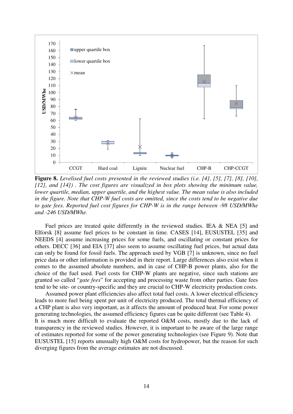

**Figure 8.** *Levelised fuel costs presented in the reviewed studies (i.e. [4], [5], [7], [8], [10], [12], and [14]) . The cost figures are visualized in box plots showing the minimum value, lower quartile, median, upper quartile, and the highest value. The mean value is also included in the figure. Note that CHP-W fuel costs are omitted, since the costs tend to be negative due to gate fees. Reported fuel cost figures for CHP-W is in the range between -98 USD/MWhe and -246 USD/MWhe.* 

Fuel prices are treated quite differently in the reviewed studies. IEA & NEA [5] and Elforsk [8] assume fuel prices to be constant in time. CASES [14], EUSUSTEL [35] and NEEDS [4] assume increasing prices for some fuels, and oscillating or constant prices for others. DECC [36] and EIA [37] also seem to assume oscillating fuel prices, but actual data can only be found for fossil fuels. The approach used by VGB [7] is unknown, since no fuel price data or other information is provided in their report. Large differences also exist when it comes to the assumed absolute numbers, and in case of CHP-B power plants, also for the choice of the fuel used. Fuel costs for CHP-W plants are negative, since such stations are granted so called "*gate fees*" for accepting and processing waste from other parties. Gate fees tend to be site- or country-specific and they are crucial to CHP-W electricity production costs.

Assumed power plant efficiencies also affect total fuel costs. A lower electrical efficiency leads to more fuel being spent per unit of electricity produced. The total thermal efficiency of a CHP plant is also very important, as it affects the amount of produced heat. For some power generating technologies, the assumed efficiency figures can be quite different (see Table 4). It is much more difficult to evaluate the reported O&M costs, mostly due to the lack of transparency in the reviewed studies. However, it is important to be aware of the large range of estimates reported for some of the power generating technologies (see Figure 9). Note that EUSUSTEL [15] reports unusually high O&M costs for hydropower, but the reason for such diverging figures from the average estimates are not discussed.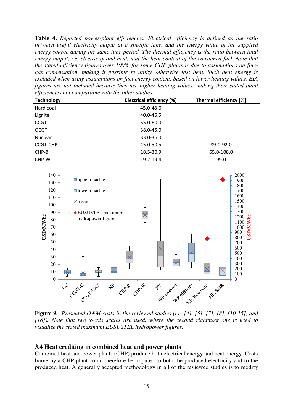**Table 4.** *Reported power-plant efficiencies. Electrical efficiency is defined as the ratio between useful electricity output at a specific time, and the energy value of the supplied energy source during the same time period. The thermal efficiency is the ratio between total energy output, i.e. electricity and heat, and the heat-content of the consumed fuel. Note that the stated efficiency figures over 100% for some CHP plants is due to assumptions on fluegas condensation, making it possible to utilize otherwise lost heat. Such heat energy is excluded when using assumptions on fuel energy content, based on lower heating values. EIA figures are not included because they use higher heating values, making their stated plant efficiencies not comparable with the other studies.*

| <b>Technology</b> | <b>Electrical efficiency [%]</b> | Thermal efficiency [%] |
|-------------------|----------------------------------|------------------------|
| Hard coal         | 45.0-48-0                        |                        |
| Lignite           | 40.0-45.5                        |                        |
| CCGT-C            | 55.0-60.0                        |                        |
| <b>OCGT</b>       | 38.0-45.0                        |                        |
| <b>Nuclear</b>    | 33.0-36.0                        |                        |
| <b>CCGT-CHP</b>   | 45.0-50.5                        | $89 - 0 - 92.0$        |
| CHP-B             | 18.5-30.9                        | 65.0-108.0             |
| CHP-W             | 19.2-19.4                        | 99.0                   |



**Figure 9.** *Presented O&M costs in the reviewed studies (i.e. [4], [5], [7], [8], [10-15], and [18]). Note that two y-axis scales are used, where the second rightmost one is used to visualize the stated maximum EUSUSTEL hydropower figures.* 

#### **3.4 Heat crediting in combined heat and power plants**

Combined heat and power plants (CHP) produce both electrical energy and heat energy. Costs borne by a CHP plant could therefore be imputed to both the produced electricity and to the produced heat. A generally accepted methodology in all of the reviewed studies is to modify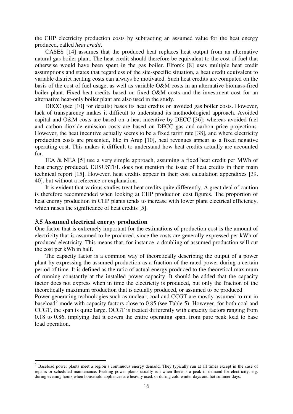the CHP electricity production costs by subtracting an assumed value for the heat energy produced, called *heat credit*.

CASES [14] assumes that the produced heat replaces heat output from an alternative natural gas boiler plant. The heat credit should therefore be equivalent to the cost of fuel that otherwise would have been spent in the gas boiler. Elforsk [8] uses multiple heat credit assumptions and states that regardless of the site-specific situation, a heat credit equivalent to variable district heating costs can always be motivated. Such heat credits are computed on the basis of the cost of fuel usage, as well as variable O&M costs in an alternative biomass-fired boiler plant. Fixed heat credits based on fixed O&M costs and the investment cost for an alternative heat-only boiler plant are also used in the study.

DECC (see [10] for details) bases its heat credits on avoided gas boiler costs. However, lack of transparency makes it difficult to understand its methodological approach. Avoided capital and O&M costs are based on a heat incentive by DECC [36]; whereas avoided fuel and carbon dioxide emission costs are based on DECC gas and carbon price projections. However, the heat incentive actually seems to be a fixed tariff rate [38], and where electricity production costs are presented, like in Arup [10], heat revenues appear as a fixed negative operating cost. This makes it difficult to understand how heat credits actually are accounted for.

IEA & NEA [5] use a very simple approach, assuming a fixed heat credit per MWh of heat energy produced. EUSUSTEL does not mention the issue of heat credits in their main technical report [15]. However, heat credits appear in their cost calculation appendixes [39, 40], but without a reference or explanation.

It is evident that various studies treat heat credits quite differently. A great deal of caution is therefore recommended when looking at CHP production cost figures. The proportion of heat energy production in CHP plants tends to increase with lower plant electrical efficiency, which raises the significance of heat credits [5].

#### **3.5 Assumed electrical energy production**

 $\overline{a}$ 

One factor that is extremely important for the estimations of production cost is the amount of electricity that is assumed to be produced, since the costs are generally expressed per kWh of produced electricity. This means that, for instance, a doubling of assumed production will cut the cost per kWh in half.

The capacity factor is a common way of theoretically describing the output of a power plant by expressing the assumed production as a fraction of the rated power during a certain period of time. It is defined as the ratio of actual energy produced to the theoretical maximum of running constantly at the installed power capacity. It should be added that the capacity factor does not express when in time the electricity is produced, but only the fraction of the theoretically maximum production that is actually produced, or assumed to be produced.

Power generating technologies such as nuclear, coal and CCGT are mostly assumed to run in baseload<sup>[5](#page-16-0)</sup> mode with capacity factors close to 0.85 (see Table 5). However, for both coal and CCGT, the span is quite large. OCGT is treated differently with capacity factors ranging from 0.18 to 0.86, implying that it covers the entire operating span, from pure peak load to base load operation.

<span id="page-16-0"></span><sup>&</sup>lt;sup>5</sup> Baseload power plants meet a region's continuous energy demand. They typically run at all times except in the case of repairs or scheduled maintenance. Peaking power plants usually run when there is a peak in demand for electricity, e.g. during evening hours when household appliances are heavily used, or during cold winter days and hot summer days.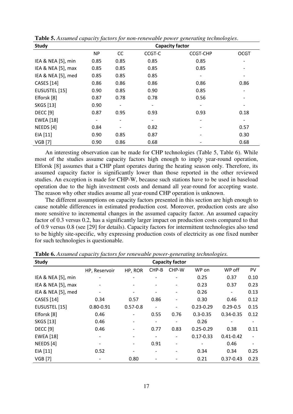| <b>Study</b>       |           |           | <b>Capacity factor</b>   |                          |             |
|--------------------|-----------|-----------|--------------------------|--------------------------|-------------|
|                    | <b>NP</b> | <b>CC</b> | CCGT-C                   | <b>CCGT-CHP</b>          | <b>OCGT</b> |
| IEA & NEA [5], min | 0.85      | 0.85      | 0.85                     | 0.85                     |             |
| IEA & NEA [5], max | 0.85      | 0.85      | 0.85                     | 0.85                     |             |
| IEA & NEA [5], med | 0.85      | 0.85      | 0.85                     | $\overline{\phantom{a}}$ |             |
| <b>CASES</b> [14]  | 0.86      | 0.86      | 0.86                     | 0.86                     | 0.86        |
| EUSUSTEL [15]      | 0.90      | 0.85      | 0.90                     | 0.85                     |             |
| Elforsk [8]        | 0.87      | 0.78      | 0.78                     | 0.56                     |             |
| <b>SKGS</b> [13]   | 0.90      |           | $\overline{\phantom{0}}$ | $\overline{\phantom{a}}$ |             |
| <b>DECC</b> [9]    | 0.87      | 0.95      | 0.93                     | 0.93                     | 0.18        |
| <b>EWEA</b> [18]   |           |           |                          | $\overline{\phantom{a}}$ |             |
| NEEDS [4]          | 0.84      |           | 0.82                     |                          | 0.57        |
| EIA [11]           | 0.90      | 0.85      | 0.87                     |                          | 0.30        |
| <b>VGB</b> [7]     | 0.90      | 0.86      | 0.68                     |                          | 0.68        |

**Table 5.** *Assumed capacity factors for non-renewable power generating technologies*.

An interesting observation can be made for CHP technologies (Table 5, Table 6). While most of the studies assume capacity factors high enough to imply year-round operation, Elforsk [8] assumes that a CHP plant operates during the heating season only. Therefore, its assumed capacity factor is significantly lower than those reported in the other reviewed studies. An exception is made for CHP-W, because such stations have to be used in baseload operation due to the high investment costs and demand all year-round for accepting waste. The reason why other studies assume all year-round CHP operation is unknown.

The different assumptions on capacity factors presented in this section are high enough to cause notable differences in estimated production cost. Moreover, production costs are also more sensitive to incremental changes in the assumed capacity factor. An assumed capacity factor of 0.3 versus 0.2, has a significantly larger impact on production costs compared to that of 0.9 versus 0.8 (see [29] for details). Capacity factors for intermittent technologies also tend to be highly site-specific, why expressing production costs of electricity as one fixed number for such technologies is questionable.

| <b>Study</b>       |               |              |                          | <b>Capacity factor</b>   |               |               |      |
|--------------------|---------------|--------------|--------------------------|--------------------------|---------------|---------------|------|
|                    | HP, Reservoir | HP, ROR      | CHP-B                    | CHP-W                    | WP on         | WP off        | PV   |
| IEA & NEA [5], min |               |              | $\qquad \qquad -$        |                          | 0.25          | 0.37          | 0.10 |
| IEA & NEA [5], max |               | -            | $\qquad \qquad -$        | $\overline{\phantom{0}}$ | 0.23          | 0.37          | 0.23 |
| IEA & NEA [5], med |               |              |                          |                          | 0.26          | -             | 0.13 |
| <b>CASES</b> [14]  | 0.34          | 0.57         | 0.86                     |                          | 0.30          | 0.46          | 0.12 |
| EUSUSTEL [15]      | $0.80 - 0.91$ | $0.57 - 0.8$ | $\qquad \qquad -$        |                          | $0.23 - 0.29$ | $0.29 - 0.5$  | 0.15 |
| Elforsk [8]        | 0.46          |              | 0.55                     | 0.76                     | $0.3 - 0.35$  | 0.34-0.35     | 0.12 |
| <b>SKGS</b> [13]   | 0.46          |              | $\overline{\phantom{a}}$ |                          | 0.26          |               |      |
| <b>DECC</b> [9]    | 0.46          |              | 0.77                     | 0.83                     | $0.25 - 0.29$ | 0.38          | 0.11 |
| <b>EWEA</b> [18]   |               |              | $\qquad \qquad -$        | $\overline{\phantom{0}}$ | $0.17 - 0.33$ | $0.41 - 0.42$ |      |
| NEEDS [4]          |               |              | 0.91                     |                          |               | 0.46          |      |
| EIA [11]           | 0.52          |              |                          |                          | 0.34          | 0.34          | 0.25 |
| <b>VGB</b> [7]     |               | 0.80         | $\overline{\phantom{a}}$ |                          | 0.21          | $0.37 - 0.43$ | 0.23 |

**Table 6.** *Assumed capacity factors for renewable power-generating technologies.*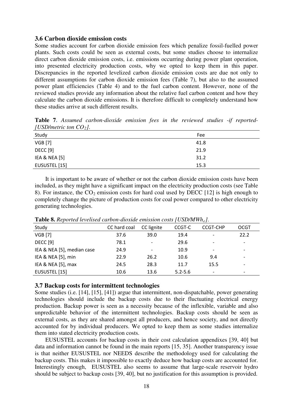#### **3.6 Carbon dioxide emission costs**

Some studies account for carbon dioxide emission fees which penalize fossil-fuelled power plants. Such costs could be seen as external costs, but some studies choose to internalize direct carbon dioxide emission costs, i.e. emissions occurring during power plant operation, into presented electricity production costs, why we opted to keep them in this paper. Discrepancies in the reported levelized carbon dioxide emission costs are due not only to different assumptions for carbon dioxide emission fees (Table 7), but also to the assumed power plant efficiencies (Table 4) and to the fuel carbon content. However, none of the reviewed studies provide any information about the relative fuel carbon content and how they calculate the carbon dioxide emissions. It is therefore difficult to completely understand how these studies arrive at such different results.

**Table 7.** *Assumed carbon-dioxide emission fees in the reviewed studies -if reported- [USD/metric ton CO2].* 

| . .<br>--                |      |
|--------------------------|------|
| Study                    | Fee  |
| <b>VGB</b> [7]           | 41.8 |
| <b>DECC</b> [9]          | 21.9 |
| <b>IEA &amp; NEA [5]</b> | 31.2 |
| EUSUSTEL [15]            | 15.3 |

It is important to be aware of whether or not the carbon dioxide emission costs have been included, as they might have a significant impact on the electricity production costs (see Table 8). For instance, the  $CO_2$  emission costs for hard coal used by DECC [12] is high enough to completely change the picture of production costs for coal power compared to other electricity generating technologies.

|                            |              |                          |             | . .                      |                          |
|----------------------------|--------------|--------------------------|-------------|--------------------------|--------------------------|
| Study                      | CC hard coal | CC lignite               | CCGT-C      | <b>CCGT-CHP</b>          | <b>OCGT</b>              |
| <b>VGB</b> [7]             | 37.6         | 39.0                     | 19.4        | $\overline{\phantom{0}}$ | 22.2                     |
| <b>DECC</b> [9]            | 78.1         | $\overline{\phantom{a}}$ | 29.6        | $\overline{\phantom{a}}$ | $\overline{\phantom{a}}$ |
| IEA & NEA [5], median case | 24.9         |                          | 10.9        | $\overline{\phantom{a}}$ | $\overline{\phantom{a}}$ |
| IEA & NEA [5], min         | 22.9         | 26.2                     | 10.6        | 9.4                      | $\overline{\phantom{a}}$ |
| IEA & NEA [5], max         | 24.5         | 28.3                     | 11.7        | 15.5                     | $\overline{\phantom{a}}$ |
| EUSUSTEL [15]              | 10.6         | 13.6                     | $5.2 - 5.6$ | $\overline{\phantom{a}}$ | $\overline{\phantom{a}}$ |

**Table 8.** *Reported levelised carbon-dioxide emission costs [USD/MWhe].*

#### **3.7 Backup costs for intermittent technologies**

Some studies (i.e. [14], [15], [41]) argue that intermittent, non-dispatchable, power generating technologies should include the backup costs due to their fluctuating electrical energy production. Backup power is seen as a necessity because of the inflexible, variable and also unpredictable behavior of the intermittent technologies. Backup costs should be seen as external costs, as they are shared amongst all producers, and hence society, and not directly accounted for by individual producers. We opted to keep them as some studies internalize them into stated electricity production costs.

EUSUSTEL accounts for backup costs in their cost calculation appendixes [39, 40] but data and information cannot be found in the main reports [15, 35]. Another transparency issue is that neither EUSUSTEL nor NEEDS describe the methodology used for calculating the backup costs. This makes it impossible to exactly deduce how backup costs are accounted for. Interestingly enough, EUSUSTEL also seems to assume that large-scale reservoir hydro should be subject to backup costs [39, 40], but no justification for this assumption is provided.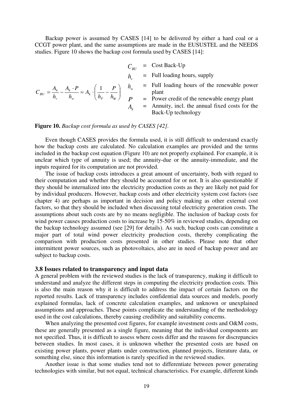Backup power is assumed by CASES [14] to be delivered by either a hard coal or a CCGT power plant, and the same assumptions are made in the EUSUSTEL and the NEEDS studies. Figure 10 shows the backup cost formula used by CASES [14]:

$$
C_{\scriptscriptstyle RII} = \text{Cost Back-Up}
$$

 $h =$  Full loading hours, supply

$$
C_{BU} = \frac{A_k}{h_v} - \frac{A_k \cdot P}{h_w} = A_k \cdot \left(\frac{1}{h_F} - \frac{P}{h_w}\right) \quad \begin{array}{lcl} h_w & = & \text{Full loading hours of the renewal} \\ P & = & \text{Power credit of the renewal} \\ A_k & = & \text{Annuity, incl. the annual fixed costs for the\nBack-Up technology} \end{array}
$$

**Figure 10.** *Backup cost formula as used by CASES [42].*

Even though CASES provides the formula used, it is still difficult to understand exactly how the backup costs are calculated. No calculation examples are provided and the terms included in the backup cost equation (Figure 10) are not properly explained. For example, it is unclear which type of annuity is used; the annuity-due or the annuity-immediate, and the inputs required for its computation are not provided.

The issue of backup costs introduces a great amount of uncertainty, both with regard to their computation and whether they should be accounted for or not. It is also questionable if they should be internalized into the electricity production costs as they are likely not paid for by individual producers. However, backup costs and other electricity system cost factors (see chapter 4) are perhaps as important in decision and policy making as other external cost factors, so that they should be included when discussing total electricity generation costs. The assumptions about such costs are by no means negligible. The inclusion of backup costs for wind power causes production costs to increase by 15-50% in reviewed studies, depending on the backup technology assumed (see [29] for details). As such, backup costs can constitute a major part of total wind power electricity production costs, thereby complicating the comparison with production costs presented in other studies. Please note that other intermittent power sources, such as photovoltaics, also are in need of backup power and are subject to backup costs.

#### **3.8 Issues related to transparency and input data**

A general problem with the reviewed studies is the lack of transparency, making it difficult to understand and analyze the different steps in computing the electricity production costs. This is also the main reason why it is difficult to address the impact of certain factors on the reported results. Lack of transparency includes confidential data sources and models, poorly explained formulas, lack of concrete calculation examples, and unknown or unexplained assumptions and approaches. These points complicate the understanding of the methodology used in the cost calculations, thereby causing credibility and suitability concerns.

When analyzing the presented cost figures, for example investment costs and O&M costs, these are generally presented as a single figure, meaning that the individual components are not specified. Thus, it is difficult to assess where costs differ and the reasons for discrepancies between studies. In most cases, it is unknown whether the presented costs are based on existing power plants, power plants under construction, planned projects, literature data, or something else, since this information is rarely specified in the reviewed studies.

Another issue is that some studies tend not to differentiate between power generating technologies with similar, but not equal, technical characteristics. For example, different kinds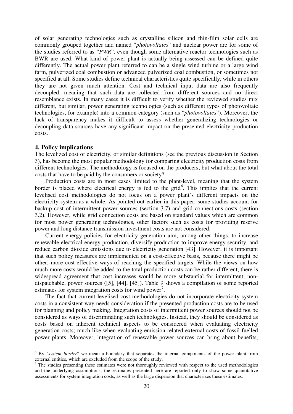of solar generating technologies such as crystalline silicon and thin-film solar cells are commonly grouped together and named "*photovoltaics*" and nuclear power are for some of the studies referred to as "*PWR*", even though some alternative reactor technologies such as BWR are used. What kind of power plant is actually being assessed can be defined quite differently. The actual power plant referred to can be a single wind turbine or a large wind farm, pulverized coal combustion or advanced pulverized coal combustion, or sometimes not specified at all. Some studies define technical characteristics quite specifically, while in others they are not given much attention. Cost and technical input data are also frequently decoupled, meaning that such data are collected from different sources and no direct resemblance exists. In many cases it is difficult to verify whether the reviewed studies mix different, but similar, power generating technologies (such as different types of photovoltaic technologies, for example) into a common category (such as "*photovoltaics*"). Moreover, the lack of transparency makes it difficult to assess whether generalizing technologies or decoupling data sources have any significant impact on the presented electricity production costs.

#### **4. Policy implications**

 $\overline{a}$ 

The levelized cost of electricity, or similar definitions (see the previous discussion in Section 3), has become the most popular methodology for comparing electricity production costs from different technologies. The methodology is focused on the producers, but what about the total costs that have to be paid by the consumers or society?

Production costs are in most cases limited to the plant-level, meaning that the system border is placed where electrical energy is fed to the grid<sup>[6](#page-20-0)</sup>. This implies that the current levelised cost methodologies do not focus on a power plant's different impacts on the electricity system as a whole. As pointed out earlier in this paper, some studies account for backup cost of intermittent power sources (section 3.7) and grid connections costs (section 3.2). However, while grid connection costs are based on standard values which are common for most power generating technologies, other factors such as costs for providing reserve power and long distance transmission investment costs are not considered.

Current energy policies for electricity generation aim, among other things, to increase renewable electrical energy production, diversify production to improve energy security, and reduce carbon dioxide emissions due to electricity generation [43]. However, it is important that such policy measures are implemented on a cost-effective basis, because there might be other, more cost-effective ways of reaching the specified targets. While the views on how much more costs would be added to the total production costs can be rather different, there is widespread agreement that cost increases would be more substantial for intermittent, nondispatchable, power sources ([5], [44], [45]). Table 9 shows a compilation of some reported estimates for system integration costs for wind power<sup>[7](#page-20-1)</sup>.

The fact that current levelised cost methodologies do not incorporate electricity system costs in a consistent way needs consideration if the presented production costs are to be used for planning and policy making. Integration costs of intermittent power sources should not be considered as ways of discriminating such technologies. Instead, they should be considered as costs based on inherent technical aspects to be considered when evaluating electricity generation costs; much like when evaluating emission-related external costs of fossil-fuelled power plants. Moreover, integration of renewable power sources can bring about benefits,

<span id="page-20-0"></span><sup>6</sup> By "*system border*" we mean a boundary that separates the internal components of the power plant from external entities, which are excluded from the scope of the study.

<span id="page-20-1"></span><sup>&</sup>lt;sup>7</sup> The studies presenting these estimates were not thoroughly reviewed with respect to the used methodologies and the underlying assumptions; the estimates presented here are reported only to show some quantitative assessments for system integration costs, as well as the large dispersion that characterizes these estimates.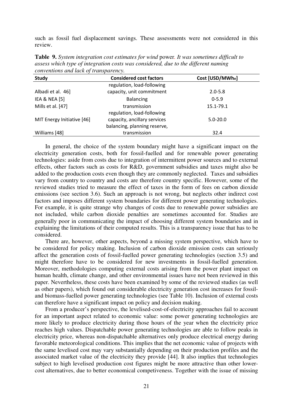such as fossil fuel displacement savings. These assessments were not considered in this review.

| <b>Study</b>               | <b>Considered cost factors</b> | Cost [USD/MWhe] |  |  |  |  |  |
|----------------------------|--------------------------------|-----------------|--|--|--|--|--|
|                            | regulation, load-following     |                 |  |  |  |  |  |
| Albadi et al. 46]          | capacity, unit commitment      | $2.0 - 5.8$     |  |  |  |  |  |
| <b>IEA &amp; NEA [5]</b>   | <b>Balancing</b>               | $0 - 5.9$       |  |  |  |  |  |
| Mills et al. [47]          | transmission                   | 15.1-79.1       |  |  |  |  |  |
|                            | regulation, load-following     |                 |  |  |  |  |  |
| MIT Energy Initiative [46] | capacity, ancillary services   | $5.0 - 20.0$    |  |  |  |  |  |
|                            | balancing, planning reserve,   |                 |  |  |  |  |  |
| Williams [48]              | transmission                   | 32.4            |  |  |  |  |  |

**Table 9.** *System integration cost estimates for wind* power*. It was sometimes difficult to assess which type of integration costs was considered, due to the different naming conventions and lack of transparency.*

In general, the choice of the system boundary might have a significant impact on the electricity generation costs, both for fossil-fuelled and for renewable power generating technologies: aside from costs due to integration of intermittent power sources and to external effects, other factors such as costs for R&D, government subsidies and taxes might also be added to the production costs even though they are commonly neglected. Taxes and subsidies vary from country to country and costs are therefore country specific. However, some of the reviewed studies tried to measure the effect of taxes in the form of fees on carbon dioxide emissions (see section 3.6). Such an approach is not wrong, but neglects other indirect cost factors and imposes different system boundaries for different power generating technologies. For example, it is quite strange why changes of costs due to renewable power subsidies are not included, while carbon dioxide penalties are sometimes accounted for. Studies are generally poor in communicating the impact of choosing different system boundaries and in explaining the limitations of their computed results. This is a transparency issue that has to be considered.

There are, however, other aspects, beyond a missing system perspective, which have to be considered for policy making. Inclusion of carbon dioxide emission costs can seriously affect the generation costs of fossil-fuelled power generating technologies (section 3.5) and might therefore have to be considered for new investments in fossil-fuelled generation. Moreover, methodologies computing external costs arising from the power plant impact on human health, climate change, and other environmental issues have not been reviewed in this paper. Nevertheless, these costs have been examined by some of the reviewed studies (as well as other papers), which found out considerable electricity generation cost increases for fossiland biomass-fuelled power generating technologies (see Table 10). Inclusion of external costs can therefore have a significant impact on policy and decision making.

From a producer's perspective, the levelised-cost-of-electricity approaches fail to account for an important aspect related to economic value: some power generating technologies are more likely to produce electricity during those hours of the year when the electricity price reaches high values. Dispatchable power generating technologies are able to follow peaks in electricity price, whereas non-dispatchable alternatives only produce electrical energy during favorable meteorological conditions. This implies that the net economic value of projects with the same levelised cost may vary substantially depending on their production profiles and the associated market value of the electricity they provide [44]. It also implies that technologies subject to high levelised production cost figures might be more attractive than other lowercost alternatives, due to better economical competiveness. Together with the issue of missing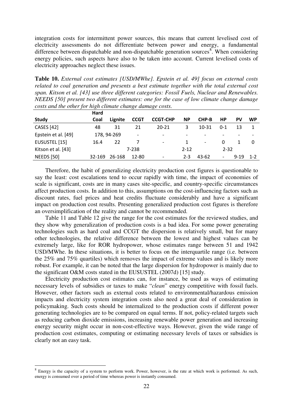integration costs for intermittent power sources, this means that current levelised cost of electricity assessments do not differentiate between power and energy, a fundamental difference between dispatchable and non-dispatchable generation sources<sup>[8](#page-22-0)</sup>. When considering energy policies, such aspects have also to be taken into account. Current levelised costs of electricity approaches neglect these issues.

**Table 10.** *External cost estimates [USD/MWhe]. Epstein et al. 49] focus on external costs related to coal generation and presents a best estimate together with the total external cost span. Kitson et al. [43] use three different categories: Fossil Fuels, Nuclear and Renewables. NEEDS [50] present two different estimates: one for the case of low climate change damage costs and the other for high climate change damage costs.* 

|                     | Hard   |             |                          |                          |           |                          |                          |           |           |
|---------------------|--------|-------------|--------------------------|--------------------------|-----------|--------------------------|--------------------------|-----------|-----------|
| Study               | Coal   | Lignite     | <b>CCGT</b>              | <b>CCGT-CHP</b>          | <b>NP</b> | CHP-B                    | НP                       | <b>PV</b> | <b>WP</b> |
| <b>CASES</b> [42]   | 48     | 31          | 21                       | $20 - 21$                | 3         | 10-31                    | $0 - 1$                  | 13        |           |
| Epstein et al. [49] |        | 178, 94-269 | $\overline{\phantom{a}}$ | $\overline{\phantom{0}}$ |           |                          |                          |           |           |
| EUSUSTEL [15]       | 16.4   | 22          |                          | -                        |           | $\overline{\phantom{a}}$ | $\Omega$                 |           |           |
| Kitson et al. [43]  |        |             | 7-238                    |                          | $2 - 12$  |                          | $2 - 32$                 |           |           |
| <b>NEEDS</b> [50]   | 32-169 | 26-168      | 12-80                    |                          | $2 - 3$   | $43 - 62$                | $\overline{\phantom{0}}$ | $9 - 19$  | $1 - 2$   |

Therefore, the habit of generalizing electricity production cost figures is questionable to say the least: cost escalations tend to occur rapidly with time, the impact of economies of scale is significant, costs are in many cases site-specific, and country-specific circumstances affect production costs. In addition to this, assumptions on the cost-influencing factors such as discount rates, fuel prices and heat credits fluctuate considerably and have a significant impact on production cost results. Presenting generalized production cost figures is therefore an oversimplification of the reality and cannot be recommended.

Table 11 and Table 12 give the range for the cost estimates for the reviewed studies, and they show why generalization of production costs is a bad idea. For some power generating technologies such as hard coal and CCGT the dispersion is relatively small, but for many other technologies, the relative difference between the lowest and highest values can be extremely large, like for ROR hydropower, whose estimates range between 51 and 1942 USD/MWhe. In these situations, it is better to focus on the interquartile range (i.e. between the 25% and 75% quartiles) which removes the impact of extreme values and is likely more robust. For example, it can be noted that the large dispersion for hydropower is mainly due to the significant O&M costs stated in the EUSUSTEL (2007d) [15] study.

Electricity production cost estimates can, for instance, be used as ways of estimating necessary levels of subsidies or taxes to make "*clean*" energy competitive with fossil fuels. However, other factors such as external costs related to environmental/hazardous emission impacts and electricity system integration costs also need a great deal of consideration in policymaking. Such costs should be internalized to the production costs if different power generating technologies are to be compared on equal terms. If not, policy-related targets such as reducing carbon dioxide emissions, increasing renewable power generation and increasing energy security might occur in non-cost-effective ways. However, given the wide range of production cost estimates, computing or estimating necessary levels of taxes or subsidies is clearly not an easy task.

 $\overline{a}$ 

<span id="page-22-0"></span> $8$  Energy is the capacity of a system to perform work. Power, however, is the rate at which work is performed. As such, energy is consumed over a period of time whereas power is instantly consumed.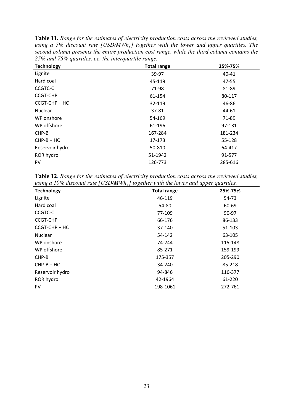**Table 11.** *Range for the estimates of electricity production costs across the reviewed studies, using a 5% discount rate [USD/MWhe] together with the lower and upper quartiles. The second column presents the entire production cost range, while the third column contains the 25% and 75% quartiles, i.e. the interquartile range.*

| <b>Technology</b> | <b>Total range</b> | 25%-75% |
|-------------------|--------------------|---------|
| Lignite           | 39-97              | 40-41   |
| Hard coal         | 45-119             | 47-55   |
| CCGTC-C           | 71-98              | 81-89   |
| <b>CCGT-CHP</b>   | 61-154             | 80-117  |
| $CCGT-CHP + HC$   | 32-119             | 46-86   |
| <b>Nuclear</b>    | 37-81              | 44-61   |
| WP onshore        | 54-169             | 71-89   |
| WP offshore       | 61-196             | 97-131  |
| CHP-B             | 167-284            | 181-234 |
| $CHP-B + HC$      | 17-173             | 55-128  |
| Reservoir hydro   | 50-810             | 64-417  |
| ROR hydro         | 51-1942            | 91-577  |
| <b>PV</b>         | 126-773            | 285-616 |

**Table 12.** *Range for the estimates of electricity production costs across the reviewed studies, using a 10% discount rate [USD/MWhe] together with the lower and upper quartiles.*

| <b>Technology</b> | <b>Total range</b> | 25%-75% |
|-------------------|--------------------|---------|
| Lignite           | 46-119             | 54-73   |
| Hard coal         | 54-80              | 60-69   |
| CCGTC-C           | 77-109             | 90-97   |
| <b>CCGT-CHP</b>   | 66-176             | 86-133  |
| CCGT-CHP + HC     | 37-140             | 51-103  |
| <b>Nuclear</b>    | 54-142             | 63-105  |
| WP onshore        | 74-244             | 115-148 |
| WP offshore       | 85-271             | 159-199 |
| CHP-B             | 175-357            | 205-290 |
| $CHP-B + HC$      | 34-240             | 85-218  |
| Reservoir hydro   | 94-846             | 116-377 |
| ROR hydro         | 42-1964            | 61-220  |
| PV                | 198-1061           | 272-761 |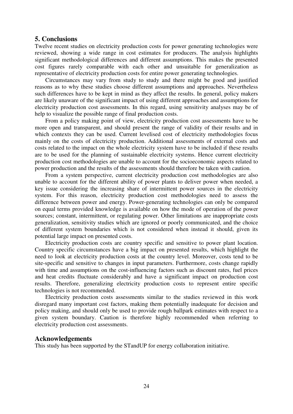#### **5. Conclusions**

Twelve recent studies on electricity production costs for power generating technologies were reviewed, showing a wide range in cost estimates for producers. The analysis highlights significant methodological differences and different assumptions. This makes the presented cost figures rarely comparable with each other and unsuitable for generalization as representative of electricity production costs for entire power generating technologies.

Circumstances may vary from study to study and there might be good and justified reasons as to why these studies choose different assumptions and approaches. Nevertheless such differences have to be kept in mind as they affect the results. In general, policy makers are likely unaware of the significant impact of using different approaches and assumptions for electricity production cost assessments. In this regard, using sensitivity analyses may be of help to visualize the possible range of final production costs.

From a policy making point of view, electricity production cost assessments have to be more open and transparent, and should present the range of validity of their results and in which contexts they can be used. Current levelised cost of electricity methodologies focus mainly on the costs of electricity production. Additional assessments of external costs and costs related to the impact on the whole electricity system have to be included if these results are to be used for the planning of sustainable electricity systems. Hence current electricity production cost methodologies are unable to account for the socioeconomic aspects related to power production and the results of the assessments should therefore be taken with caution.

From a system perspective, current electricity production cost methodologies are also unable to account for the different ability of power plants to deliver power when needed, a key issue considering the increasing share of intermittent power sources in the electricity system. For this reason, electricity production cost methodologies need to assess the difference between power and energy. Power-generating technologies can only be compared on equal terms provided knowledge is available on how the mode of operation of the power sources; constant, intermittent, or regulating power. Other limitations are inappropriate costs generalization, sensitivity studies which are ignored or poorly communicated, and the choice of different system boundaries which is not considered when instead it should, given its potential large impact on presented costs.

Electricity production costs are country specific and sensitive to power plant location. Country specific circumstances have a big impact on presented results, which highlight the need to look at electricity production costs at the country level. Moreover, costs tend to be site-specific and sensitive to changes in input parameters. Furthermore, costs change rapidly with time and assumptions on the cost-influencing factors such as discount rates, fuel prices and heat credits fluctuate considerably and have a significant impact on production cost results. Therefore, generalizing electricity production costs to represent entire specific technologies is not recommended.

Electricity production costs assessments similar to the studies reviewed in this work disregard many important cost factors, making them potentially inadequate for decision and policy making, and should only be used to provide rough ballpark estimates with respect to a given system boundary. Caution is therefore highly recommended when referring to electricity production cost assessments.

#### **Acknowledgements**

This study has been supported by the STandUP for energy collaboration initiative.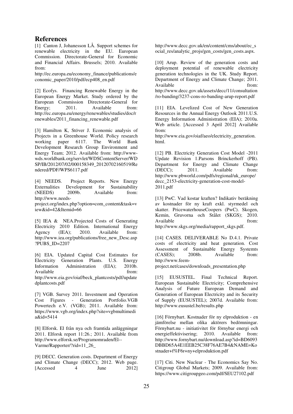#### **References**

[1] Canton J, Johanesson LÅ. Support schemes for renewable electricity in the EU. European Commission. Directorate-General for Economic and Financial Affairs. Brussels; 2010. Available from:

http://ec.europa.eu/economy\_finance/publications/e conomic\_paper/2010/pdf/ecp408\_en.pdf

[2] Ecofys. Financing Renewable Energy in the European Energy Market. Study ordered by the European Commission Directorate-General for Energy: 2011. Available from: http://ec.europa.eu/energy/renewables/studies/doc/r enewables/2011\_financing\_renewable.pdf

[3] Hamilton K, Stöver J. Economic analysis of Projects in a Greenhouse World. Policy research working paper 6117. The World Bank Development Research Group Environment and Energy Team; 2012. Available from: http://wwwwds.worldbank.org/servlet/WDSContentServer/WD SP/IB/2012/07/02/000158349\_20120702160519/Re ndered/PDF/WPS6117.pdf

[4] NEEDS. Project Reports. New Energy Externalities Development for Sustainability (NEEDS) 2009b. Available from: http://www.needsproject.org/index.php?option=com\_content&task=v iew&id=42&Itemid=66

[5] IEA & NEA.Projected Costs of Generating Electricity 2010 Edition. International Energy Agency (IEA); 2010. Available from: http://www.iea.org/publications/free\_new\_Desc.asp ?PUBS\_ID=2207

[6] EIA. Updated Capital Cost Estimates for Electricity Generation Plants. U.S. Energy Information Administration (EIA); 2010b. Available from: http://www.eia.gov/oiaf/beck\_plantcosts/pdf/update dplantcosts.pdf

[7] VGB. Survey 2011. Investment and Operation Cost Figures - Generation Portfolio.VGB Powertech e.V. (VGB); 2011. Available from: https://www.vgb.org/index.php?site=vgbmultimedi  $a\&i\&d=5414$ 

[8] Elforsk. El från nya och framtida anläggningar 2011. Elforsk report 11:26.; 2011. Available from http://www.elforsk.se/Programomraden/El-- Varme/Rapporter/?rid=11\_26\_

[9] DECC. Generation costs. Department of Energy and Climate Change (DECC); 2012. Web page. [Accessed 4 June 2012]

http://www.decc.gov.uk/en/content/cms/about/ec\_s ocial\_res/analytic\_projs/gen\_costs/gen\_costs.aspx.

[10] Arup. Review of the generation costs and deployment potential of renewable electricity generation technologies in the UK. Study Report. Department of Energy and Climate Change; 2011. Available from: http://www.decc.gov.uk/assets/decc/11/consultation /ro-banding/3237-cons-ro-banding-arup-report.pdf

[11] EIA. Levelized Cost of New Generation Resources in the Annual Energy Outlook 2011.U.S. Energy Information Administration (EIA); 2010a. Web article. [Accessed 3 April 2012] Available from:

http://www.eia.gov/oiaf/aeo/electricity\_generation. html.

[12] PB. Electricity Generation Cost Model -2011 Update Revision 1.Parsons Brinckerhoff (PB). Department for Energy and Climate Change (DECC); 2011. Available from: http://www.pbworld.com/pdfs/regional/uk\_europe/ decc\_2153-electricity-generation-cost-model-2011.pdf

[13] PwC. Vad kostar kraften? Indikativ beräkning av kostnader för ny kraft exkl. styrmedel och skatter. PricewaterhouseCoopers (PwC). Skogen, Kemin, Gruvorna och Stålet (SKGS); 2010. Available from:

http://www.skgs.org/media/rapport\_skgs.pdf.

[14] CASES. DELIVERABLE No D.4.1. Private costs of electricity and heat generation. Cost Assessment of Sustainable Energy Systemts (CASES); 2008b. Available from: http://www.feem-

project.net/cases/downloads\_presentation.php

[15] EUSUSTEL. Final Technical Report. European Sustainable Electricity; Comprehensive Analysis of Future European Demand and Generation of European Electricity and its Security of Supply (EUSUSTEL); 2007d. Available from: http://www.eusustel.be/results.php

[16] Förnybart. Kostnader för ny elproduktion - en jämförelse mellan olika aktörers bedömningar. Förnybart.nu - initiativitet för förnybar energi och energieffektivisering; 2010. Available from: http://www.fornybart.nu/download.asp?id=BD6093 DBBD65A4E1EEB25C38F76AE7B4&NAME=Ko stnader+f%F6r+ny+elproduktion.pdf

[17] Citi. New Nuclear - The Economics Say No. Citigroup Global Markets; 2009. Available from: https://www.citigroupgeo.com/pdf/SEU27102.pdf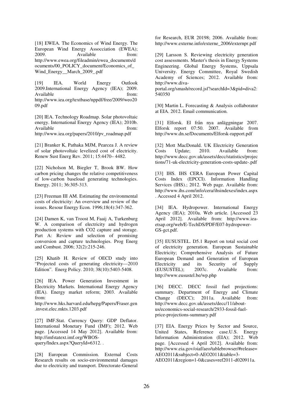[18] EWEA. The Economics of Wind Energy. The European Wind Energy Assocciation (EWEA); 2009. Available from: http://www.ewea.org/fileadmin/ewea\_documents/d ocuments/00\_POLICY\_document/Economics\_of Wind Energy March 2009 .pdf

[19] IEA. World Energy Outlook 2009.International Energy Agency (IEA); 2009. Available from: http://www.iea.org/textbase/nppdf/free/2009/weo20 09.pdf

[20] IEA. Technology Roadmap. Solar photovoltaic energy. International Energy Agency (IEA); 2010b. Available from: http://www.iea.org/papers/2010/pv\_roadmap.pdf

[21] Branker K, Pathaka MJM, Pearcea J. A review of solar photovoltaic levelized cost of electricity. Renew Sust Energ Rev. 2011; 15:4470– 4482.

[22] Nicholson M, Biegler T, Brook BW. How carbon pricing changes the relative competitiveness of low-carbon baseload generating technologies. Energy. 2011; 36:305-313.

[23] Freeman III AM. Estimating the environmental costs of electricity: An overview and review of the issues. Resour Energy Econ. 1996;18(4):347-362.

[24] Damen K, van Troost M, Faaij A, Turkenburg W. A comparison of electricity and hydrogen production systems with CO2 capture and storage. Part A: Review and selection of promising conversion and capture technologies. Prog Energ and Combust. 2006; 32(2):215-246.

[25] Khatib H. Review of OECD study into "Projected costs of generating electricity—2010 Edition". Energ Policy. 2010; 38(10):5403-5408.

[26] IEA. Power Generation Investment in Electricity Markets. International Energy Agency (IEA). Energy market reform; 2003. Available from:

http://www.hks.harvard.edu/hepg/Papers/Fraser.gen .invest.elec.mkts.1203.pdf

[27] IMF.Stat. Currency Query: GDP Deflator. International Monetary Fund (IMF); 2012. Web page. [Accessed 14 May 2012]. Available from: http://imfstatext.imf.org/WBOSquery/Index.aspx?QueryId=6312. .

[28] European Commission. External Costs Research results on socio-environmental damages due to electricity and transport. Directorate-General

for Research, EUR 20198; 2006. Available from: http://www.externe.info/externe\_2006/externpr.pdf

[29] Larsson S. Reviewing electricity generation cost assessments. Master's thesis in Energy Systems Engineering. Global Energy Systems, Uppsala University. Energy Committee, Royal Swedish Academy of Sciences; 2012. Available from: http://www.diva-

portal.org/smash/record.jsf?searchId=3&pid=diva2: 540350

[30] Martin L. Forecasting & Analysis collaborator at EIA. 2012. Email communication.

[31] Elforsk. El från nya anläggningar 2007. Elforsk report 07:50. 2007. Available from http://www.dn.se/Documents/Elforsk-rapport.pdf

[32] Mott MacDonald. UK Electricity Generation Costs Update; 2010. Available from: http://www.decc.gov.uk/assets/decc/statistics/projec tions/71-uk-electricity-generation-costs-update-.pdf

[33] IHS. IHS CERA European Power Capital Costs Index (EPCCI). Information Handling Services (IHS).; 2012. Web page. Available from: http://www.ihs.com/info/cera/ihsindexes/index.aspx . Accessed 4 April 2012.

[34] IEA. Hydropower. International Energy Agency (IEA); 2010a. Web article. [Accessed 23 April 2012]. Available from: http://www.ieaetsap.org/web/E-TechDS/PDF/E07-hydropower-GS-gct.pdf.

[35] EUSUSTEL. D5.1 Report on total social cost of electricity generation. European Sustainable Electricity; Comprehensive Analysis of Future European Demand and Generation of European Electricity and its Security of Supply (EUSUSTEL); 2007c. Available from: http://www.eusustel.be/wp.php

[36] DECC. DECC fossil fuel projections: summary. Department of Energy and Climate Change (DECC); 2011a. Available from: http://www.decc.gov.uk/assets/decc/11/aboutus/economics-social-research/2933-fossil-fuelprice-projections-summary.pdf

[37] EIA. Energy Prices by Sector and Source, United States, Reference case.U.S. Energy Information Administration (EIA); 2012. Web page. [Accessed 4 April 2012]. Available from: http://www.eia.gov/oiaf/aeo/tablebrowser/#release= AEO2011&subject=0-AEO2011&table=3- AEO2011&region=1-0&cases=ref2011-d020911a.